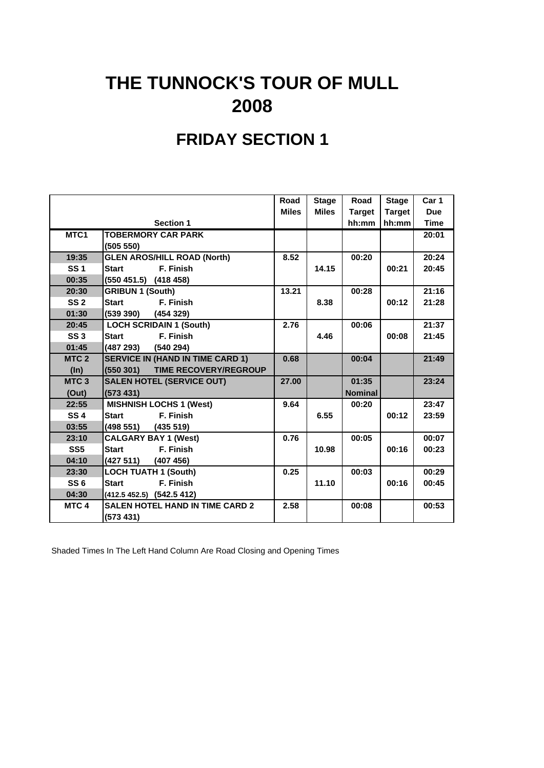# **THE TUNNOCK'S TOUR OF MULL 2008**

### **FRIDAY SECTION 1**

|                  |                                          | Road         | <b>Stage</b> | Road           | <b>Stage</b>  | Car 1       |
|------------------|------------------------------------------|--------------|--------------|----------------|---------------|-------------|
|                  |                                          | <b>Miles</b> | <b>Miles</b> | <b>Target</b>  | <b>Target</b> | <b>Due</b>  |
|                  | <b>Section 1</b>                         |              |              | hh:mm          | hh:mm         | <b>Time</b> |
| MTC1             | <b>TOBERMORY CAR PARK</b>                |              |              |                |               | 20:01       |
|                  | (505 550)                                |              |              |                |               |             |
| 19:35            | <b>GLEN AROS/HILL ROAD (North)</b>       | 8.52         |              | 00:20          |               | 20:24       |
| <b>SS1</b>       | <b>Start</b><br>F. Finish                |              | 14.15        |                | 00:21         | 20:45       |
| 00:35            | $(550 451.5)$ $(418 458)$                |              |              |                |               |             |
| 20:30            | <b>GRIBUN 1 (South)</b>                  | 13.21        |              | 00:28          |               | 21:16       |
| SS <sub>2</sub>  | <b>Start</b><br>F. Finish                |              | 8.38         |                | 00:12         | 21:28       |
| 01:30            | $(539 390)$ $(454 329)$                  |              |              |                |               |             |
| 20:45            | <b>LOCH SCRIDAIN 1 (South)</b>           | 2.76         |              | 00:06          |               | 21:37       |
| SS <sub>3</sub>  | F. Finish<br><b>Start</b>                |              | 4.46         |                | 00:08         | 21:45       |
| 01:45            | (487 293) (540 294)                      |              |              |                |               |             |
| MTC <sub>2</sub> | <b>SERVICE IN (HAND IN TIME CARD 1)</b>  | 0.68         |              | 00:04          |               | 21:49       |
| $(\ln)$          | (550301)<br><b>TIME RECOVERY/REGROUP</b> |              |              |                |               |             |
| MTC <sub>3</sub> | <b>SALEN HOTEL (SERVICE OUT)</b>         | 27.00        |              | 01:35          |               | 23:24       |
| (Out)            | (573 431)                                |              |              | <b>Nominal</b> |               |             |
| 22:55            | <b>MISHNISH LOCHS 1 (West)</b>           | 9.64         |              | 00:20          |               | 23:47       |
| <b>SS4</b>       | F. Finish<br><b>Start</b>                |              | 6.55         |                | 00:12         | 23:59       |
| 03:55            | $(498 551)$ $(435 519)$                  |              |              |                |               |             |
| 23:10            | <b>CALGARY BAY 1 (West)</b>              | 0.76         |              | 00:05          |               | 00:07       |
| SS <sub>5</sub>  | F. Finish<br><b>Start</b>                |              | 10.98        |                | 00:16         | 00:23       |
| 04:10            | $(427 511)$ $(407 456)$                  |              |              |                |               |             |
| 23:30            | <b>LOCH TUATH 1 (South)</b>              | 0.25         |              | 00:03          |               | 00:29       |
| SS <sub>6</sub>  | F. Finish<br><b>Start</b>                |              | 11.10        |                | 00:16         | 00:45       |
| 04:30            | (412.5 452.5) (542.5 412)                |              |              |                |               |             |
| MTC <sub>4</sub> | <b>SALEN HOTEL HAND IN TIME CARD 2</b>   | 2.58         |              | 00:08          |               | 00:53       |
|                  | (573 431)                                |              |              |                |               |             |

Shaded Times In The Left Hand Column Are Road Closing and Opening Times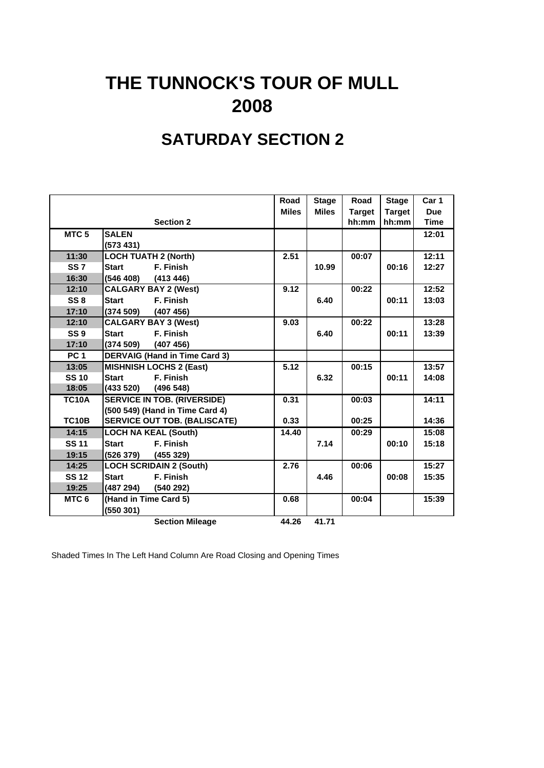## **THE TUNNOCK'S TOUR OF MULL 2008**

### **SATURDAY SECTION 2**

|                  |                                      | Road         | <b>Stage</b> | Road          | <b>Stage</b>  | Car 1       |
|------------------|--------------------------------------|--------------|--------------|---------------|---------------|-------------|
|                  |                                      | <b>Miles</b> | <b>Miles</b> | <b>Target</b> | <b>Target</b> | <b>Due</b>  |
|                  | <b>Section 2</b>                     |              |              | hh:mm         | hh:mm         | <b>Time</b> |
| MTC <sub>5</sub> | <b>SALEN</b>                         |              |              |               |               | 12:01       |
|                  | (573 431)                            |              |              |               |               |             |
| 11:30            | <b>LOCH TUATH 2 (North)</b>          | 2.51         |              | 00:07         |               | 12:11       |
| <b>SS7</b>       | F. Finish<br><b>Start</b>            |              | 10.99        |               | 00:16         | 12:27       |
| 16:30            | (546 408)<br>(413 446)               |              |              |               |               |             |
| 12:10            | <b>CALGARY BAY 2 (West)</b>          | 9.12         |              | 00:22         |               | 12:52       |
| SS <sub>8</sub>  | F. Finish<br><b>Start</b>            |              | 6.40         |               | 00:11         | 13:03       |
| 17:10            | (374 509)<br>(407 456)               |              |              |               |               |             |
| 12:10            | <b>CALGARY BAY 3 (West)</b>          | 9.03         |              | 00:22         |               | 13:28       |
| <b>SS9</b>       | F. Finish<br><b>Start</b>            |              | 6.40         |               | 00:11         | 13:39       |
| 17:10            | (374509)<br>(407 456)                |              |              |               |               |             |
| <b>PC 1</b>      | <b>DERVAIG (Hand in Time Card 3)</b> |              |              |               |               |             |
| 13:05            | <b>MISHNISH LOCHS 2 (East)</b>       | 5.12         |              | 00:15         |               | 13:57       |
| <b>SS 10</b>     | F. Finish<br><b>Start</b>            |              | 6.32         |               | 00:11         | 14:08       |
| 18:05            | (433 520)<br>(496548)                |              |              |               |               |             |
| <b>TC10A</b>     | <b>SERVICE IN TOB. (RIVERSIDE)</b>   | 0.31         |              | 00:03         |               | 14:11       |
|                  | (500 549) (Hand in Time Card 4)      |              |              |               |               |             |
| <b>TC10B</b>     | <b>SERVICE OUT TOB. (BALISCATE)</b>  | 0.33         |              | 00:25         |               | 14:36       |
| 14:15            | <b>LOCH NA KEAL (South)</b>          | 14.40        |              | 00:29         |               | 15:08       |
| <b>SS 11</b>     | F. Finish<br><b>Start</b>            |              | 7.14         |               | 00:10         | 15:18       |
| 19:15            | (526 379)<br>(455 329)               |              |              |               |               |             |
| 14:25            | <b>LOCH SCRIDAIN 2 (South)</b>       | 2.76         |              | 00:06         |               | 15:27       |
| <b>SS 12</b>     | F. Finish<br><b>Start</b>            |              | 4.46         |               | 00:08         | 15:35       |
| 19:25            | (487 294)<br>(540 292)               |              |              |               |               |             |
| MTC <sub>6</sub> | (Hand in Time Card 5)                | 0.68         |              | 00:04         |               | 15:39       |
|                  | (550301)                             |              |              |               |               |             |
|                  | <b>Section Mileage</b>               | 44.26        | 41.71        |               |               |             |

Shaded Times In The Left Hand Column Are Road Closing and Opening Times